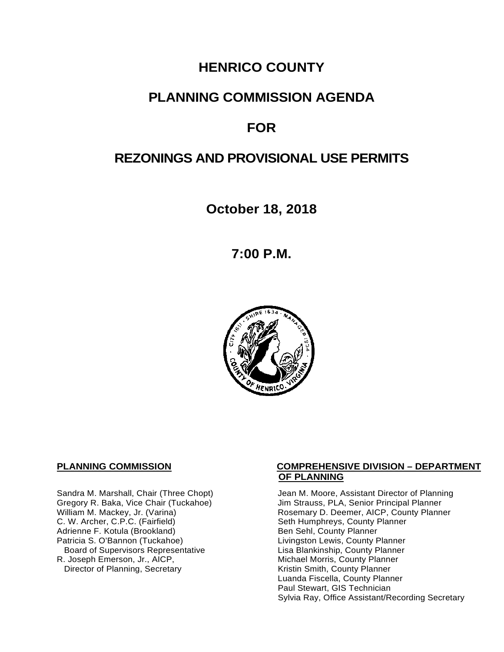# **HENRICO COUNTY**

# **PLANNING COMMISSION AGENDA**

# **FOR**

# **REZONINGS AND PROVISIONAL USE PERMITS**

**October 18, 2018**

**7:00 P.M.**



C. W. Archer, C.P.C. (Fairfield) Seth Humphreys, County I<br>Adrienne F. Kotula (Brookland) Seth Humphreys, County Planner Adrienne F. Kotula (Brookland)<br>Patricia S. O'Bannon (Tuckahoe) Board of Supervisors Representative Lisa Blankinship, County Planner<br>R. Joseph Emerson, Jr., AICP, Michael Morris, County Planner Director of Planning, Secretary

#### **PLANNING COMMISSION COMPREHENSIVE DIVISION – DEPARTMENT OF PLANNING**

Sandra M. Marshall, Chair (Three Chopt) Jean M. Moore, Assistant Director of Planning<br>Gregory R. Baka, Vice Chair (Tuckahoe) Jim Strauss, PLA, Senior Principal Planner Gregory R. Baka, Vice Chair (Tuckahoe) *Jim Strauss, PLA, Senior Principal Planner*<br>William M. Mackey, Jr. (Varina) **Macking Principal Planner** Rosemary D. Deemer, AICP, County Planner Rosemary D. Deemer, AICP, County Planner<br>Seth Humphreys, County Planner Livingston Lewis, County Planner Michael Morris, County Planner<br>Kristin Smith, County Planner Luanda Fiscella, County Planner Paul Stewart, GIS Technician Sylvia Ray, Office Assistant/Recording Secretary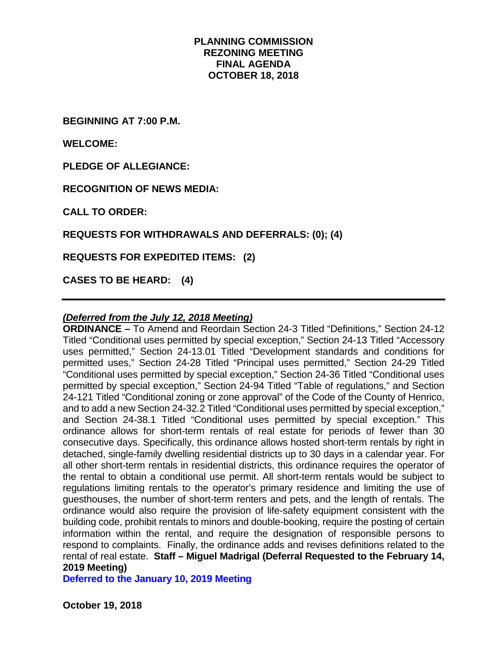## **PLANNING COMMISSION REZONING MEETING FINAL AGENDA OCTOBER 18, 2018**

**BEGINNING AT 7:00 P.M.**

**WELCOME:**

**PLEDGE OF ALLEGIANCE:**

**RECOGNITION OF NEWS MEDIA:**

**CALL TO ORDER:**

**REQUESTS FOR WITHDRAWALS AND DEFERRALS: (0); (4)**

**REQUESTS FOR EXPEDITED ITEMS: (2)**

**CASES TO BE HEARD: (4)**

#### *(Deferred from the July 12, 2018 Meeting)*

**ORDINANCE –** To Amend and Reordain Section 24-3 Titled "Definitions," Section 24-12 Titled "Conditional uses permitted by special exception," Section 24-13 Titled "Accessory uses permitted," Section 24-13.01 Titled "Development standards and conditions for permitted uses," Section 24-28 Titled "Principal uses permitted," Section 24-29 Titled "Conditional uses permitted by special exception," Section 24-36 Titled "Conditional uses permitted by special exception," Section 24-94 Titled "Table of regulations," and Section 24-121 Titled "Conditional zoning or zone approval" of the Code of the County of Henrico, and to add a new Section 24-32.2 Titled "Conditional uses permitted by special exception," and Section 24-38.1 Titled "Conditional uses permitted by special exception." This ordinance allows for short-term rentals of real estate for periods of fewer than 30 consecutive days. Specifically, this ordinance allows hosted short-term rentals by right in detached, single-family dwelling residential districts up to 30 days in a calendar year. For all other short-term rentals in residential districts, this ordinance requires the operator of the rental to obtain a conditional use permit. All short-term rentals would be subject to regulations limiting rentals to the operator's primary residence and limiting the use of guesthouses, the number of short-term renters and pets, and the length of rentals. The ordinance would also require the provision of life-safety equipment consistent with the building code, prohibit rentals to minors and double-booking, require the posting of certain information within the rental, and require the designation of responsible persons to respond to complaints. Finally, the ordinance adds and revises definitions related to the rental of real estate. **Staff – Miguel Madrigal (Deferral Requested to the February 14, 2019 Meeting)**

**Deferred to the January 10, 2019 Meeting**

**October 19, 2018**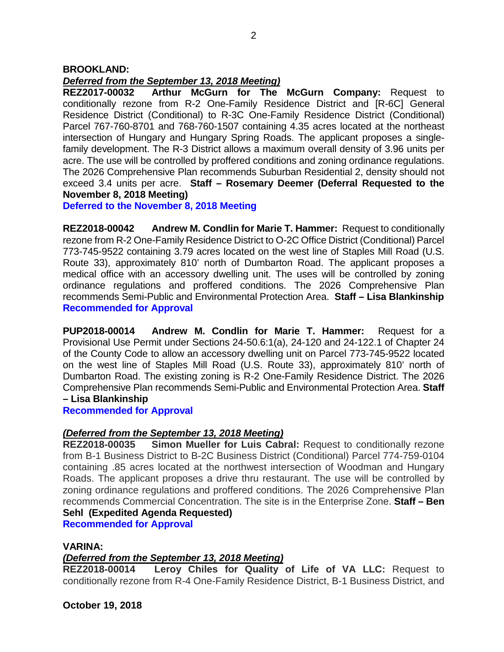### **BROOKLAND:**

### *Deferred from the September 13, 2018 Meeting)*

**REZ2017-00032 Arthur McGurn for The McGurn Company:** Request to conditionally rezone from R-2 One-Family Residence District and [R-6C] General Residence District (Conditional) to R-3C One-Family Residence District (Conditional) Parcel 767-760-8701 and 768-760-1507 containing 4.35 acres located at the northeast intersection of Hungary and Hungary Spring Roads. The applicant proposes a singlefamily development. The R-3 District allows a maximum overall density of 3.96 units per acre. The use will be controlled by proffered conditions and zoning ordinance regulations. The 2026 Comprehensive Plan recommends Suburban Residential 2, density should not exceed 3.4 units per acre. **Staff – Rosemary Deemer (Deferral Requested to the November 8, 2018 Meeting)**

**Deferred to the November 8, 2018 Meeting**

**REZ2018-00042 Andrew M. Condlin for Marie T. Hammer:** Request to conditionally rezone from R-2 One-Family Residence District to O-2C Office District (Conditional) Parcel 773-745-9522 containing 3.79 acres located on the west line of Staples Mill Road (U.S. Route 33), approximately 810' north of Dumbarton Road. The applicant proposes a medical office with an accessory dwelling unit. The uses will be controlled by zoning ordinance regulations and proffered conditions. The 2026 Comprehensive Plan recommends Semi-Public and Environmental Protection Area. **Staff – Lisa Blankinship Recommended for Approval**

**PUP2018-00014 Andrew M. Condlin for Marie T. Hammer:** Request for a Provisional Use Permit under Sections 24-50.6:1(a), 24-120 and 24-122.1 of Chapter 24 of the County Code to allow an accessory dwelling unit on Parcel 773-745-9522 located on the west line of Staples Mill Road (U.S. Route 33), approximately 810' north of Dumbarton Road. The existing zoning is R-2 One-Family Residence District. The 2026 Comprehensive Plan recommends Semi-Public and Environmental Protection Area. **Staff – Lisa Blankinship**

# **Recommended for Approval**

### *(Deferred from the September 13, 2018 Meeting)*

**REZ2018-00035 Simon Mueller for Luis Cabral:** Request to conditionally rezone from B-1 Business District to B-2C Business District (Conditional) Parcel 774-759-0104 containing .85 acres located at the northwest intersection of Woodman and Hungary Roads. The applicant proposes a drive thru restaurant. The use will be controlled by zoning ordinance regulations and proffered conditions. The 2026 Comprehensive Plan recommends Commercial Concentration. The site is in the Enterprise Zone. **Staff – Ben Sehl (Expedited Agenda Requested)**

**Recommended for Approval**

### **VARINA:**

### *(Deferred from the September 13, 2018 Meeting)*

**REZ2018-00014 Leroy Chiles for Quality of Life of VA LLC:** Request to conditionally rezone from R-4 One-Family Residence District, B-1 Business District, and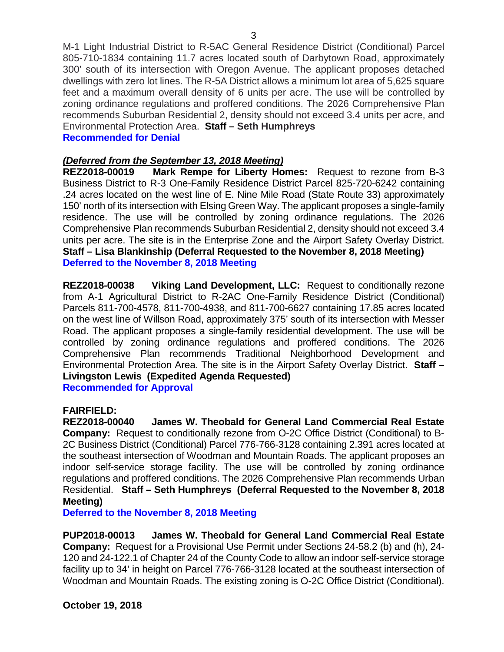M-1 Light Industrial District to R-5AC General Residence District (Conditional) Parcel 805-710-1834 containing 11.7 acres located south of Darbytown Road, approximately 300' south of its intersection with Oregon Avenue. The applicant proposes detached dwellings with zero lot lines. The R-5A District allows a minimum lot area of 5,625 square feet and a maximum overall density of 6 units per acre. The use will be controlled by zoning ordinance regulations and proffered conditions. The 2026 Comprehensive Plan recommends Suburban Residential 2, density should not exceed 3.4 units per acre, and Environmental Protection Area. **Staff – Seth Humphreys** 

**Recommended for Denial**

# *(Deferred from the September 13, 2018 Meeting)*

**REZ2018-00019 Mark Rempe for Liberty Homes:** Request to rezone from B-3 Business District to R-3 One-Family Residence District Parcel 825-720-6242 containing .24 acres located on the west line of E. Nine Mile Road (State Route 33) approximately 150' north of its intersection with Elsing Green Way. The applicant proposes a single-family residence. The use will be controlled by zoning ordinance regulations. The 2026 Comprehensive Plan recommends Suburban Residential 2, density should not exceed 3.4 units per acre. The site is in the Enterprise Zone and the Airport Safety Overlay District. **Staff – Lisa Blankinship (Deferral Requested to the November 8, 2018 Meeting) Deferred to the November 8, 2018 Meeting**

**REZ2018-00038 Viking Land Development, LLC:** Request to conditionally rezone from A-1 Agricultural District to R-2AC One-Family Residence District (Conditional) Parcels 811-700-4578, 811-700-4938, and 811-700-6627 containing 17.85 acres located on the west line of Willson Road, approximately 375' south of its intersection with Messer Road. The applicant proposes a single-family residential development. The use will be controlled by zoning ordinance regulations and proffered conditions. The 2026 Comprehensive Plan recommends Traditional Neighborhood Development and Environmental Protection Area. The site is in the Airport Safety Overlay District. **Staff – Livingston Lewis (Expedited Agenda Requested)**

**Recommended for Approval**

# **FAIRFIELD:**

**REZ2018-00040 James W. Theobald for General Land Commercial Real Estate Company:** Request to conditionally rezone from O-2C Office District (Conditional) to B-2C Business District (Conditional) Parcel 776-766-3128 containing 2.391 acres located at the southeast intersection of Woodman and Mountain Roads. The applicant proposes an indoor self-service storage facility. The use will be controlled by zoning ordinance regulations and proffered conditions. The 2026 Comprehensive Plan recommends Urban Residential. **Staff – Seth Humphreys (Deferral Requested to the November 8, 2018 Meeting)**

**Deferred to the November 8, 2018 Meeting**

**PUP2018-00013 James W. Theobald for General Land Commercial Real Estate Company:** Request for a Provisional Use Permit under Sections 24-58.2 (b) and (h), 24- 120 and 24-122.1 of Chapter 24 of the County Code to allow an indoor self-service storage facility up to 34' in height on Parcel 776-766-3128 located at the southeast intersection of Woodman and Mountain Roads. The existing zoning is O-2C Office District (Conditional).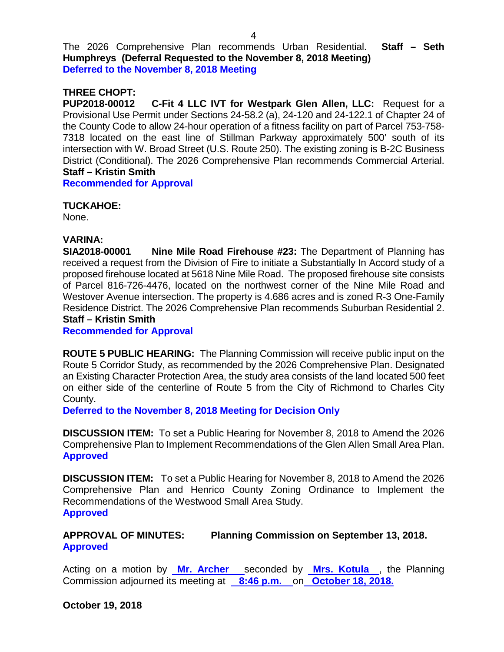The 2026 Comprehensive Plan recommends Urban Residential. **Staff – Seth Humphreys (Deferral Requested to the November 8, 2018 Meeting) Deferred to the November 8, 2018 Meeting**

# **THREE CHOPT:**

**PUP2018-00012 C-Fit 4 LLC IVT for Westpark Glen Allen, LLC:** Request for a Provisional Use Permit under Sections 24-58.2 (a), 24-120 and 24-122.1 of Chapter 24 of the County Code to allow 24-hour operation of a fitness facility on part of Parcel 753-758- 7318 located on the east line of Stillman Parkway approximately 500' south of its intersection with W. Broad Street (U.S. Route 250). The existing zoning is B-2C Business District (Conditional). The 2026 Comprehensive Plan recommends Commercial Arterial. **Staff – Kristin Smith**

**Recommended for Approval**

**TUCKAHOE:**

None.

# **VARINA:**

**SIA2018-00001 Nine Mile Road Firehouse #23:** The Department of Planning has received a request from the Division of Fire to initiate a Substantially In Accord study of a proposed firehouse located at 5618 Nine Mile Road. The proposed firehouse site consists of Parcel 816-726-4476, located on the northwest corner of the Nine Mile Road and Westover Avenue intersection. The property is 4.686 acres and is zoned R-3 One-Family Residence District. The 2026 Comprehensive Plan recommends Suburban Residential 2. **Staff – Kristin Smith**

**Recommended for Approval**

**ROUTE 5 PUBLIC HEARING:** The Planning Commission will receive public input on the Route 5 Corridor Study, as recommended by the 2026 Comprehensive Plan. Designated an Existing Character Protection Area, the study area consists of the land located 500 feet on either side of the centerline of Route 5 from the City of Richmond to Charles City County.

**Deferred to the November 8, 2018 Meeting for Decision Only**

**DISCUSSION ITEM:** To set a Public Hearing for November 8, 2018 to Amend the 2026 Comprehensive Plan to Implement Recommendations of the Glen Allen Small Area Plan. **Approved**

**DISCUSSION ITEM:** To set a Public Hearing for November 8, 2018 to Amend the 2026 Comprehensive Plan and Henrico County Zoning Ordinance to Implement the Recommendations of the Westwood Small Area Study. **Approved**

# **APPROVAL OF MINUTES: Planning Commission on September 13, 2018. Approved**

Acting on a motion by **Mr. Archer** seconded by **Mrs. Kotula** , the Planning Commission adjourned its meeting at **8:46 p.m.** on **October 18, 2018.**